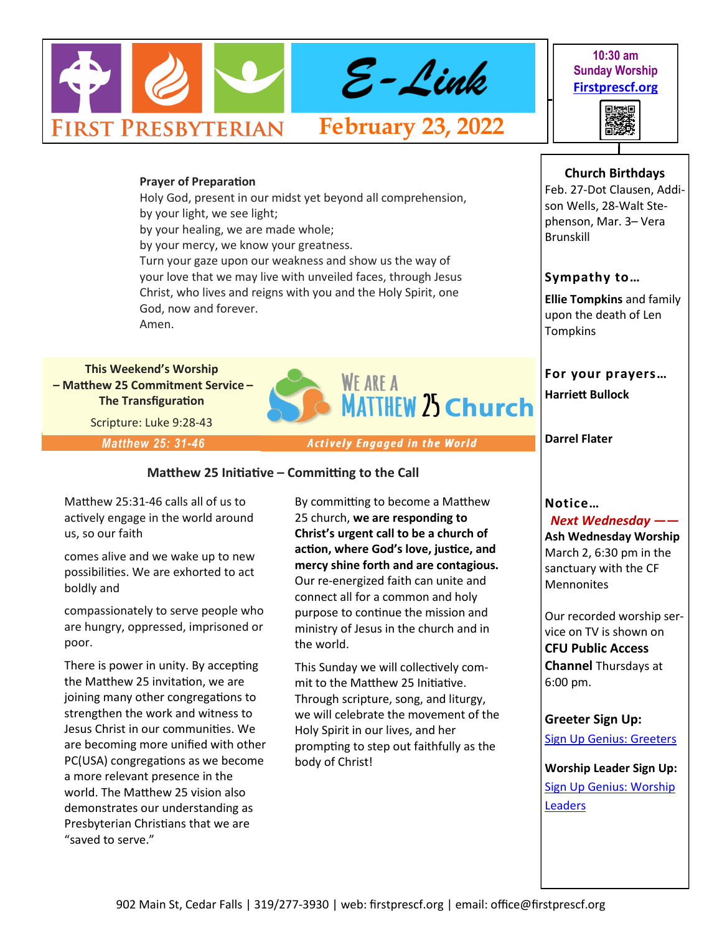

**10:30 am Sunday Worship [Firstprescf.org](http://www.firstprescf.org)**



**Church Birthdays** Feb. 27-Dot Clausen, Addi-

### **Prayer of Preparation**

Holy God, present in our midst yet beyond all comprehension, by your light, we see light; by your healing, we are made whole; by your mercy, we know your greatness. Turn your gaze upon our weakness and show us the way of your love that we may live with unveiled faces, through Jesus Christ, who lives and reigns with you and the Holy Spirit, one God, now and forever. Amen.

**This Weekend's Worship – Matthew 25 Commitment Service – The Transfiguration**

Scripture: Luke 9:28-43

*Matthew 25: 31-46*

**Actively Engaged in the World** 

**MATTHEW 25 Church** 

**WE ARE A** 

**Matthew 25 Initiative – Committing to the Call**

Matthew 25:31-46 calls all of us to actively engage in the world around us, so our faith

comes alive and we wake up to new possibilities. We are exhorted to act boldly and

compassionately to serve people who are hungry, oppressed, imprisoned or poor.

There is power in unity. By accepting the Matthew 25 invitation, we are joining many other congregations to strengthen the work and witness to Jesus Christ in our communities. We are becoming more unified with other PC(USA) congregations as we become a more relevant presence in the world. The Matthew 25 vision also demonstrates our understanding as Presbyterian Christians that we are "saved to serve."

By committing to become a Matthew 25 church, **we are responding to Christ's urgent call to be a church of action, where God's love, justice, and mercy shine forth and are contagious.** Our re-energized faith can unite and connect all for a common and holy purpose to continue the mission and ministry of Jesus in the church and in the world.

This Sunday we will collectively commit to the Matthew 25 Initiative. Through scripture, song, and liturgy, we will celebrate the movement of the Holy Spirit in our lives, and her prompting to step out faithfully as the body of Christ!

# son Wells, 28-Walt Stephenson, Mar. 3– Vera

**Sympathy to…**

Brunskill

**Ellie Tompkins** and family upon the death of Len **Tompkins** 

**For your prayers…**

**Harriett Bullock** 

**Darrel Flater** 

# **Notice…**

*Next Wednesday ——* **Ash Wednesday Worship** March 2, 6:30 pm in the sanctuary with the CF Mennonites

Our recorded worship service on TV is shown on **CFU Public Access Channel** Thursdays at 6:00 pm.

# **Greeter Sign Up:**

[Sign Up Genius: Greeters](https://www.signupgenius.com/go/10C0D4BA9A728ABF4CF8-shepherds1)

**Worship Leader Sign Up:** [Sign Up Genius: Worship](https://www.signupgenius.com/go/10C0D4BA9A728ABF4CF8-worship)  **[Leaders](https://www.signupgenius.com/go/10C0D4BA9A728ABF4CF8-worship)**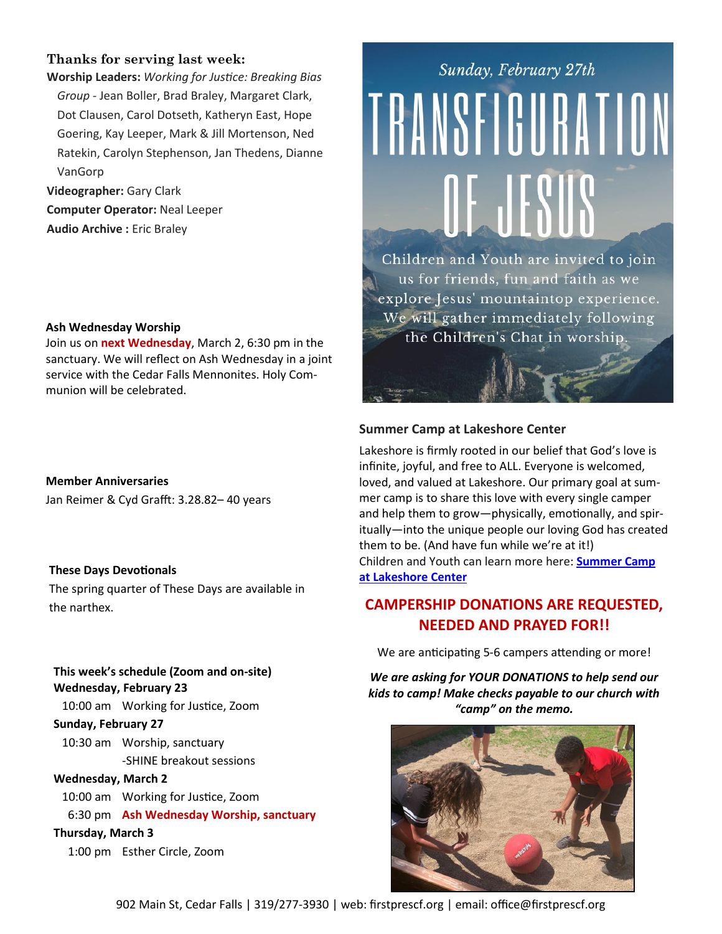# **Thanks for serving last week:**

**Worship Leaders:** *Working for Justice: Breaking Bias Group -* Jean Boller, Brad Braley, Margaret Clark, Dot Clausen, Carol Dotseth, Katheryn East, Hope Goering, Kay Leeper, Mark & Jill Mortenson, Ned Ratekin, Carolyn Stephenson, Jan Thedens, Dianne VanGorp

**Videographer:** Gary Clark **Computer Operator:** Neal Leeper **Audio Archive :** Eric Braley

#### **Ash Wednesday Worship**

Join us on **next Wednesday**, March 2, 6:30 pm in the sanctuary. We will reflect on Ash Wednesday in a joint service with the Cedar Falls Mennonites. Holy Communion will be celebrated.

**Member Anniversaries** Jan Reimer & Cyd Grafft: 3.28.82– 40 years

# **These Days Devotionals**

The spring quarter of These Days are available in the narthex.

# **This week's schedule (Zoom and on-site) Wednesday, February 23**

10:00 am Working for Justice, Zoom

#### **Sunday, February 27**

10:30 am Worship, sanctuary -SHINE breakout sessions

# **Wednesday, March 2**

10:00 am Working for Justice, Zoom

6:30 pm **Ash Wednesday Worship, sanctuary**

# **Thursday, March 3**

1:00 pm Esther Circle, Zoom

# Sunday, February 27th TRANSFICURATION OF JESUS

Children and Youth are invited to join us for friends, fun and faith as we explore Jesus' mountaintop experience. We will gather immediately following the Children's Chat in worship.

# **Summer Camp at Lakeshore Center**

Lakeshore is firmly rooted in our belief that God's love is infinite, joyful, and free to ALL. Everyone is welcomed, loved, and valued at Lakeshore. Our primary goal at summer camp is to share this love with every single camper and help them to grow—physically, emotionally, and spiritually—into the unique people our loving God has created them to be. (And have fun while we're at it!) Children and Youth can learn more here: **[Summer Camp](https://www.lakeshorecenteratokoboji.org/summer-camp.html)  [at Lakeshore Center](https://www.lakeshorecenteratokoboji.org/summer-camp.html)**

# **CAMPERSHIP DONATIONS ARE REQUESTED, NEEDED AND PRAYED FOR!!**

We are anticipating 5-6 campers attending or more!

*We are asking for YOUR DONATIONS to help send our kids to camp! Make checks payable to our church with "camp" on the memo.*